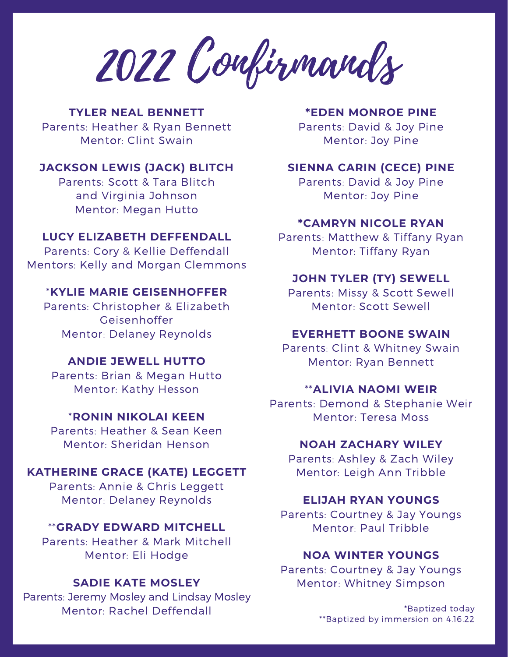2022 Confirmands

# **TYLER NEAL BENNETT**

Parents: Heather & Ryan Bennett Mentor: Clint Swain

# **JACKSON LEWIS (JACK) BLITCH**

Parents: Scott & Tara Blitch and Virginia Johnson Mentor: Megan Hutto

## **LUCY ELIZABETH DEFFENDALL**

Parents: Cory & Kellie Deffendall Mentors: Kelly and Morgan Clemmons

## \***KYLIE MARIE GEISENHOFFER**

Parents: Christopher & Elizabeth Geisenhoffer Mentor: Delaney Reynolds

### **ANDIE JEWELL HUTTO**

Parents: Brian & Megan Hutto Mentor: Kathy Hesson

## \***RONIN NIKOLAI KEEN**

Parents: Heather & Sean Keen Mentor: Sheridan Henson

# **KATHERINE GRACE (KATE) LEGGETT**

Parents: Annie & Chris Leggett Mentor: Delaney Reynolds

### \*\***GRADY EDWARD MITCHELL**

Parents: Heather & Mark Mitchell Mentor: Eli Hodge

## **SADIE KATE MOSLEY**

Parents: Jeremy Mosley and Lindsay Mosley Mentor: Rachel Deffendall

#### **\*EDEN MONROE PINE**

Parents: David & Joy Pine Mentor: Joy Pine

## **SIENNA CARIN (CECE) PINE**

Parents: David & Joy Pine Mentor: Joy Pine

#### **\*CAMRYN NICOLE RYAN**

Parents: Matthew & Tiffany Ryan Mentor: Tiffany Ryan

# **JOHN TYLER (TY) SEWELL**

Parents: Missy & Scott Sewell Mentor: Scott Sewell

#### **EVERHETT BOONE SWAIN**

Parents: Clint & Whitney Swain Mentor: Ryan Bennett

#### \*\***ALIVIA NAOMI WEIR**

Parents: Demond & Stephanie Weir Mentor: Teresa Moss

#### **NOAH ZACHARY WILEY**

Parents: Ashley & Zach Wiley Mentor: Leigh Ann Tribble

#### **ELIJAH RYAN YOUNGS**

Parents: Courtney & Jay Youngs Mentor: Paul Tribble

## **NOA WINTER YOUNGS**

Parents: Courtney & Jay Youngs Mentor: Whitney Simpson

> \*Baptized today \*\*Baptized by immersion on 4.16.22